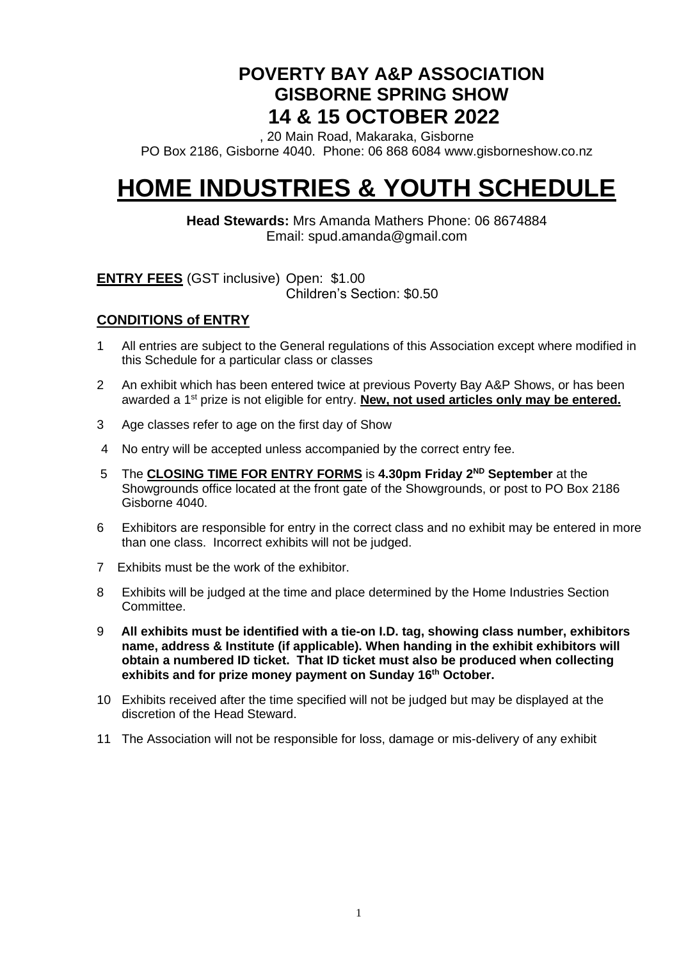# **POVERTY BAY A&P ASSOCIATION GISBORNE SPRING SHOW 14 & 15 OCTOBER 2022**

, 20 Main Road, Makaraka, Gisborne PO Box 2186, Gisborne 4040. Phone: 06 868 6084 www.gisborneshow.co.nz

# **HOME INDUSTRIES & YOUTH SCHEDULE**

**Head Stewards:** Mrs Amanda Mathers Phone: 06 8674884 Email: spud.amanda@gmail.com

**ENTRY FEES** (GST inclusive) Open: \$1.00

Children's Section: \$0.50

### **CONDITIONS of ENTRY**

- 1 All entries are subject to the General regulations of this Association except where modified in this Schedule for a particular class or classes
- 2 An exhibit which has been entered twice at previous Poverty Bay A&P Shows, or has been awarded a 1<sup>st</sup> prize is not eligible for entry. **New, not used articles only may be entered.**
- 3 Age classes refer to age on the first day of Show
- 4 No entry will be accepted unless accompanied by the correct entry fee.
- 5 The **CLOSING TIME FOR ENTRY FORMS** is 4.30pm Friday 2<sup>ND</sup> September at the Showgrounds office located at the front gate of the Showgrounds, or post to PO Box 2186 Gisborne 4040.
- 6 Exhibitors are responsible for entry in the correct class and no exhibit may be entered in more than one class. Incorrect exhibits will not be judged.
- 7 Exhibits must be the work of the exhibitor.
- 8 Exhibits will be judged at the time and place determined by the Home Industries Section Committee.
- 9 **All exhibits must be identified with a tie-on I.D. tag, showing class number, exhibitors name, address & Institute (if applicable). When handing in the exhibit exhibitors will obtain a numbered ID ticket. That ID ticket must also be produced when collecting exhibits and for prize money payment on Sunday 16 th October.**
- 10 Exhibits received after the time specified will not be judged but may be displayed at the discretion of the Head Steward.
- 11 The Association will not be responsible for loss, damage or mis-delivery of any exhibit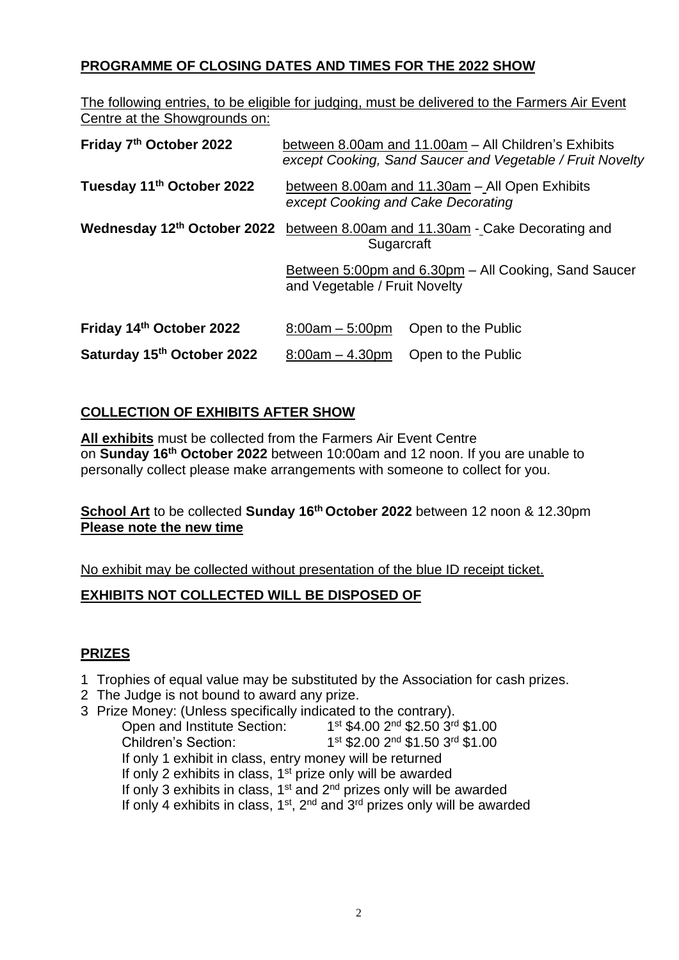# **PROGRAMME OF CLOSING DATES AND TIMES FOR THE 2022 SHOW**

The following entries, to be eligible for judging, must be delivered to the Farmers Air Event Centre at the Showgrounds on:

| Friday 7th October 2022               | between 8.00am and 11.00am - All Children's Exhibits<br>except Cooking, Sand Saucer and Vegetable / Fruit Novelty |                    |  |  |
|---------------------------------------|-------------------------------------------------------------------------------------------------------------------|--------------------|--|--|
| Tuesday 11 <sup>th</sup> October 2022 | between 8.00am and 11.30am - All Open Exhibits<br>except Cooking and Cake Decorating                              |                    |  |  |
|                                       | Wednesday 12 <sup>th</sup> October 2022 between 8.00am and 11.30am - Cake Decorating and<br>Sugarcraft            |                    |  |  |
|                                       | Between 5:00pm and 6.30pm - All Cooking, Sand Saucer<br>and Vegetable / Fruit Novelty                             |                    |  |  |
| Friday 14th October 2022              | $8:00am - 5:00pm$                                                                                                 | Open to the Public |  |  |
| Saturday 15th October 2022            | $8:00am - 4.30pm$                                                                                                 | Open to the Public |  |  |

# **COLLECTION OF EXHIBITS AFTER SHOW**

**All exhibits** must be collected from the Farmers Air Event Centre on **Sunday 16 th October 2022** between 10:00am and 12 noon. If you are unable to personally collect please make arrangements with someone to collect for you.

### **School Art** to be collected **Sunday 16 th October 2022** between 12 noon & 12.30pm **Please note the new time**

No exhibit may be collected without presentation of the blue ID receipt ticket.

### **EXHIBITS NOT COLLECTED WILL BE DISPOSED OF**

### **PRIZES**

- 1 Trophies of equal value may be substituted by the Association for cash prizes.
- 2 The Judge is not bound to award any prize.
- 3 Prize Money: (Unless specifically indicated to the contrary). Open and Institute Section: 1 st \$4.00 2<sup>nd</sup> \$2.50 3<sup>rd</sup> \$1.00 Children's Section: 1 st \$2.00 2<sup>nd</sup> \$1.50 3<sup>rd</sup> \$1.00 If only 1 exhibit in class, entry money will be returned If only 2 exhibits in class,  $1<sup>st</sup>$  prize only will be awarded If only 3 exhibits in class,  $1<sup>st</sup>$  and  $2<sup>nd</sup>$  prizes only will be awarded If only 4 exhibits in class,  $1<sup>st</sup>$ ,  $2<sup>nd</sup>$  and  $3<sup>rd</sup>$  prizes only will be awarded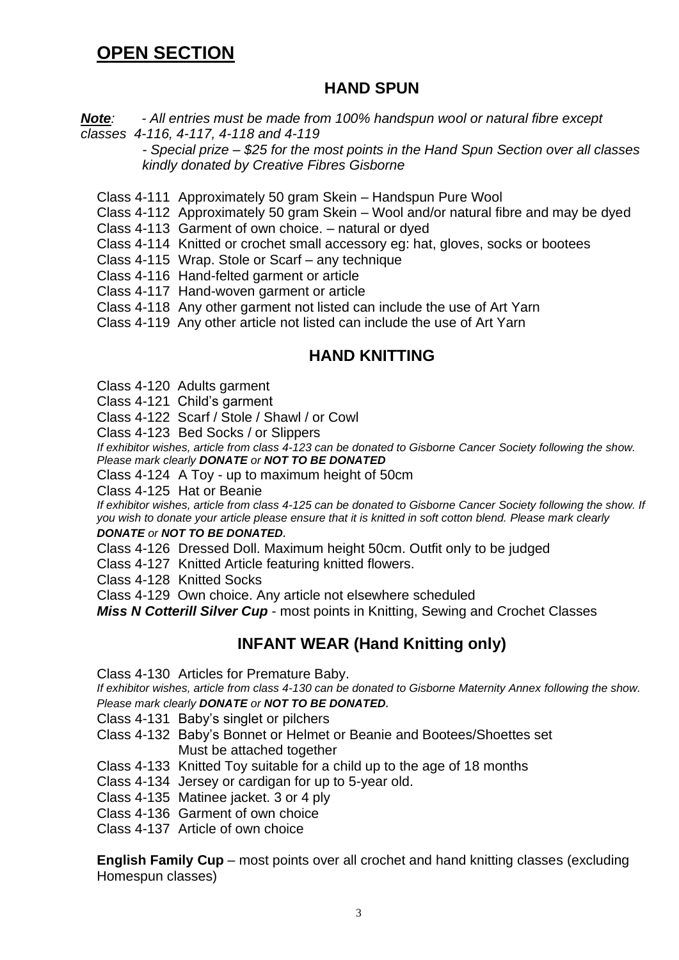# **OPEN SECTION**

# **HAND SPUN**

*Note: - All entries must be made from 100% handspun wool or natural fibre except classes 4-116, 4-117, 4-118 and 4-119*

*- Special prize – \$25 for the most points in the Hand Spun Section over all classes kindly donated by Creative Fibres Gisborne*

Class 4-111 Approximately 50 gram Skein – Handspun Pure Wool

Class 4-112 Approximately 50 gram Skein – Wool and/or natural fibre and may be dyed

Class 4-113 Garment of own choice. – natural or dyed

Class 4-114 Knitted or crochet small accessory eg: hat, gloves, socks or bootees

Class 4-115 Wrap. Stole or Scarf – any technique

Class 4-116 Hand-felted garment or article

- Class 4-117 Hand-woven garment or article
- Class 4-118 Any other garment not listed can include the use of Art Yarn

Class 4-119 Any other article not listed can include the use of Art Yarn

# **HAND KNITTING**

- Class 4-120 Adults garment
- Class 4-121 Child's garment
- Class 4-122 Scarf / Stole / Shawl / or Cowl
- Class 4-123 Bed Socks / or Slippers

*If exhibitor wishes, article from class 4-123 can be donated to Gisborne Cancer Society following the show. Please mark clearly DONATE or NOT TO BE DONATED*

Class 4-124 A Toy - up to maximum height of 50cm

Class 4-125 Hat or Beanie

*If exhibitor wishes, article from class 4-125 can be donated to Gisborne Cancer Society following the show. If you wish to donate your article please ensure that it is knitted in soft cotton blend. Please mark clearly*

#### *DONATE or NOT TO BE DONATED.*

Class 4-126 Dressed Doll. Maximum height 50cm. Outfit only to be judged

Class 4-127 Knitted Article featuring knitted flowers.

Class 4-128 Knitted Socks

Class 4-129 Own choice. Any article not elsewhere scheduled

*Miss N Cotterill Silver Cup* - most points in Knitting, Sewing and Crochet Classes

# **INFANT WEAR (Hand Knitting only)**

Class 4-130 Articles for Premature Baby.

*If exhibitor wishes, article from class 4-130 can be donated to Gisborne Maternity Annex following the show. Please mark clearly DONATE or NOT TO BE DONATED.* 

Class 4-131 Baby's singlet or pilchers

- Class 4-132 Baby's Bonnet or Helmet or Beanie and Bootees/Shoettes set Must be attached together
- Class 4-133 Knitted Toy suitable for a child up to the age of 18 months
- Class 4-134 Jersey or cardigan for up to 5-year old.
- Class 4-135 Matinee jacket. 3 or 4 ply
- Class 4-136 Garment of own choice

Class 4-137 Article of own choice

**English Family Cup** – most points over all crochet and hand knitting classes (excluding Homespun classes)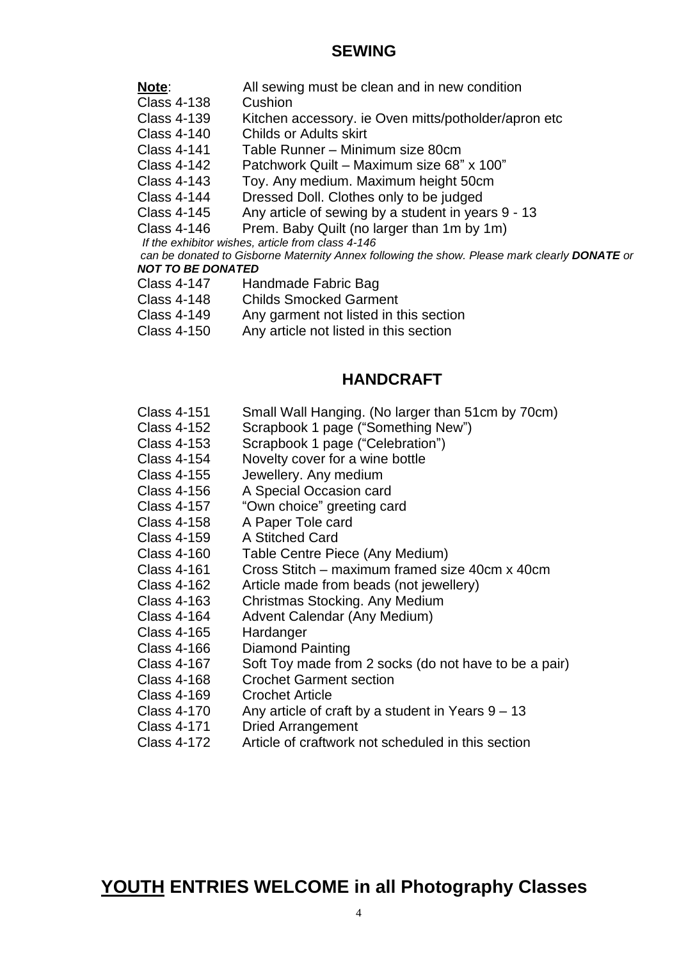### **SEWING**

- **Note:** All sewing must be clean and in new condition
- Class 4-138 Cushion
- Class 4-139 Kitchen accessory. ie Oven mitts/potholder/apron etc<br>Class 4-140 Childs or Adults skirt
- Childs or Adults skirt
- Class 4-141 Table Runner Minimum size 80cm
- Class 4-142 Patchwork Quilt Maximum size 68" x 100"
- Class 4-143 Toy. Any medium. Maximum height 50cm
- Class 4-144 Dressed Doll. Clothes only to be judged
- Class 4-145 Any article of sewing by a student in years 9 13
- Class 4-146 Prem. Baby Quilt (no larger than 1m by 1m)
- *If the exhibitor wishes, article from class 4-146*

*can be donated to Gisborne Maternity Annex following the show. Please mark clearly DONATE or NOT TO BE DONATED*

- Class 4-147 Handmade Fabric Bag
- Class 4-148 Childs Smocked Garment
- Class 4-149 Any garment not listed in this section
- Class 4-150 Any article not listed in this section

# **HANDCRAFT**

- Class 4-151 Small Wall Hanging. (No larger than 51cm by 70cm)
- Class 4-152 Scrapbook 1 page ("Something New")
- Class 4-153 Scrapbook 1 page ("Celebration")
- Class 4-154 Novelty cover for a wine bottle
- Class 4-155 Jewellery. Any medium
- Class 4-156 A Special Occasion card
- Class 4-157 "Own choice" greeting card
- Class 4-158 A Paper Tole card
- Class 4-159 A Stitched Card
- Class 4-160 Table Centre Piece (Any Medium)
- Class 4-161 Cross Stitch maximum framed size 40cm x 40cm
- Class 4-162 Article made from beads (not jewellery)
- Class 4-163 Christmas Stocking. Any Medium
- Class 4-164 Advent Calendar (Any Medium)
- Class 4-165 Hardanger
- Class 4-166 Diamond Painting
- Class 4-167 Soft Toy made from 2 socks (do not have to be a pair)
- Class 4-168 Crochet Garment section
- Class 4-169 Crochet Article
- Class 4-170 Any article of craft by a student in Years 9 13
- Class 4-171 Dried Arrangement
- Class 4-172 Article of craftwork not scheduled in this section

**YOUTH ENTRIES WELCOME in all Photography Classes**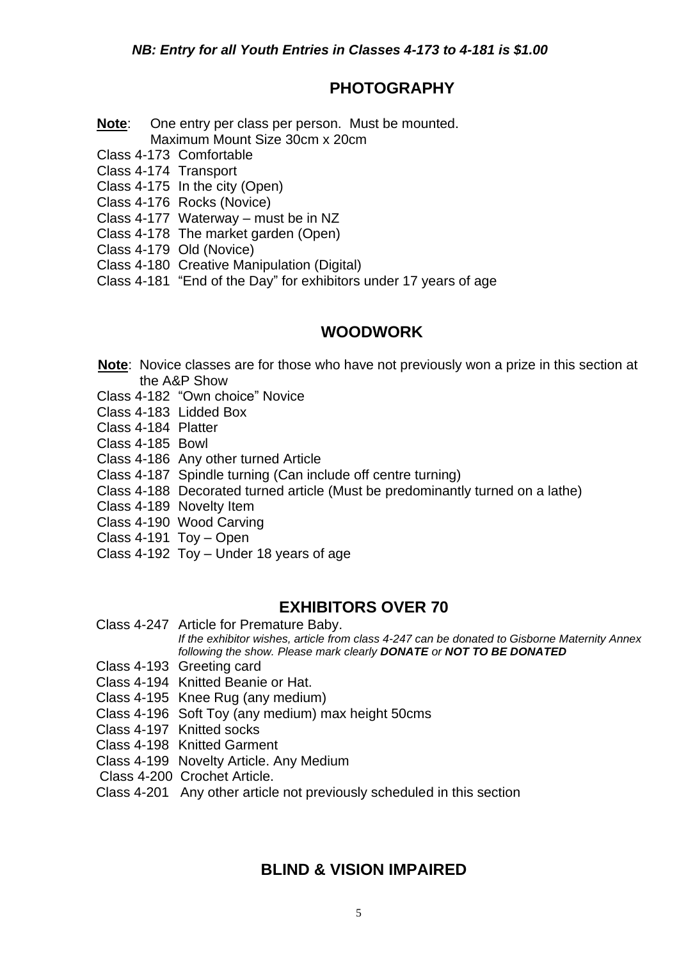# **PHOTOGRAPHY**

- **Note**: One entry per class per person. Must be mounted. Maximum Mount Size 30cm x 20cm
- Class 4-173 Comfortable
- Class 4-174 Transport
- Class 4-175 In the city (Open)
- Class 4-176 Rocks (Novice)
- Class 4-177 Waterway must be in NZ
- Class 4-178 The market garden (Open)
- Class 4-179 Old (Novice)
- Class 4-180 Creative Manipulation (Digital)
- Class 4-181 "End of the Day" for exhibitors under 17 years of age

# **WOODWORK**

- **Note**: Novice classes are for those who have not previously won a prize in this section at the A&P Show
- Class 4-182 "Own choice" Novice
- Class 4-183 Lidded Box
- Class 4-184 Platter
- Class 4-185 Bowl
- Class 4-186 Any other turned Article
- Class 4-187 Spindle turning (Can include off centre turning)
- Class 4-188 Decorated turned article (Must be predominantly turned on a lathe)
- Class 4-189 Novelty Item
- Class 4-190 Wood Carving
- Class 4-191 Toy Open
- Class 4-192 Toy Under 18 years of age

# **EXHIBITORS OVER 70**

Class 4-247 Article for Premature Baby.

*If the exhibitor wishes, article from class 4-247 can be donated to Gisborne Maternity Annex following the show. Please mark clearly DONATE or NOT TO BE DONATED*

- Class 4-193 Greeting card
- Class 4-194 Knitted Beanie or Hat.
- Class 4-195 Knee Rug (any medium)
- Class 4-196 Soft Toy (any medium) max height 50cms
- Class 4-197 Knitted socks
- Class 4-198 Knitted Garment
- Class 4-199 Novelty Article. Any Medium
- Class 4-200 Crochet Article.
- Class 4-201 Any other article not previously scheduled in this section

# **BLIND & VISION IMPAIRED**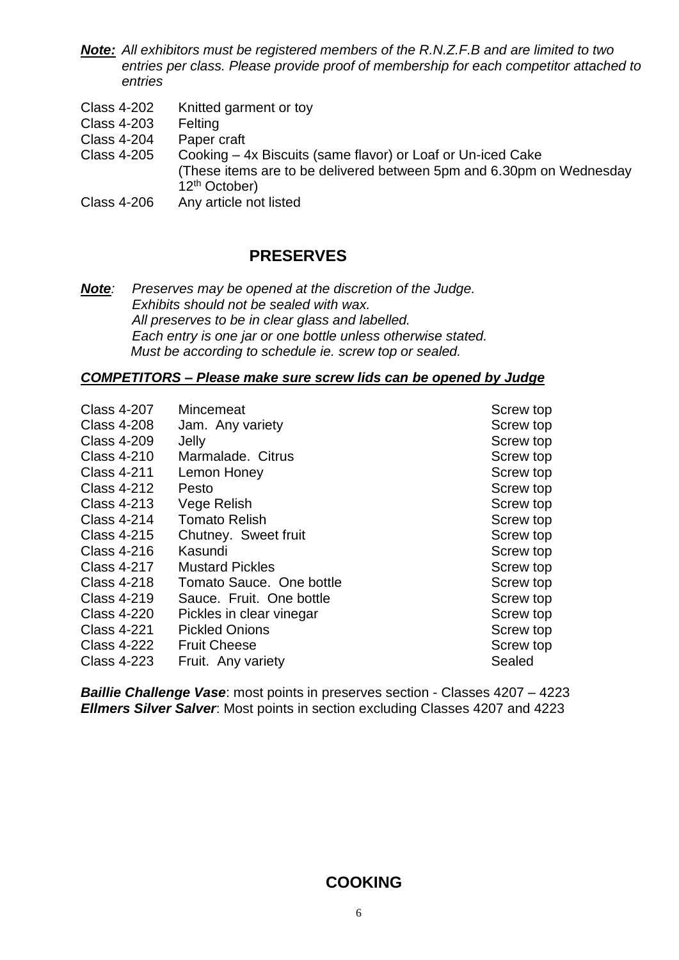- *Note: All exhibitors must be registered members of the R.N.Z.F.B and are limited to two entries per class. Please provide proof of membership for each competitor attached to entries*
- Class 4-202 Knitted garment or toy
- Class 4-203 Felting
- Class 4-204 Paper craft
- Class 4-205 Cooking 4x Biscuits (same flavor) or Loaf or Un-iced Cake (These items are to be delivered between 5pm and 6.30pm on Wednesday 12<sup>th</sup> October)
- Class 4-206 Any article not listed

### **PRESERVES**

*Note: Preserves may be opened at the discretion of the Judge. Exhibits should not be sealed with wax. All preserves to be in clear glass and labelled. Each entry is one jar or one bottle unless otherwise stated. Must be according to schedule ie. screw top or sealed.*

#### *COMPETITORS – Please make sure screw lids can be opened by Judge*

| <b>Class 4-207</b> | Mincemeat                | Screw top |
|--------------------|--------------------------|-----------|
| <b>Class 4-208</b> | Jam. Any variety         | Screw top |
|                    |                          |           |
| <b>Class 4-209</b> | Jelly                    | Screw top |
| <b>Class 4-210</b> | Marmalade, Citrus        | Screw top |
| <b>Class 4-211</b> | Lemon Honey              | Screw top |
| <b>Class 4-212</b> | Pesto                    | Screw top |
| <b>Class 4-213</b> | Vege Relish              | Screw top |
| <b>Class 4-214</b> | <b>Tomato Relish</b>     | Screw top |
| <b>Class 4-215</b> | Chutney. Sweet fruit     | Screw top |
| <b>Class 4-216</b> | Kasundi                  | Screw top |
| <b>Class 4-217</b> | <b>Mustard Pickles</b>   | Screw top |
| <b>Class 4-218</b> | Tomato Sauce. One bottle | Screw top |
| <b>Class 4-219</b> | Sauce. Fruit. One bottle | Screw top |
| <b>Class 4-220</b> | Pickles in clear vinegar | Screw top |
| <b>Class 4-221</b> | <b>Pickled Onions</b>    | Screw top |
| <b>Class 4-222</b> | <b>Fruit Cheese</b>      | Screw top |
| <b>Class 4-223</b> | Fruit. Any variety       | Sealed    |

*Baillie Challenge Vase*: most points in preserves section - Classes 4207 – 4223 *Ellmers Silver Salver*: Most points in section excluding Classes 4207 and 4223

### **COOKING**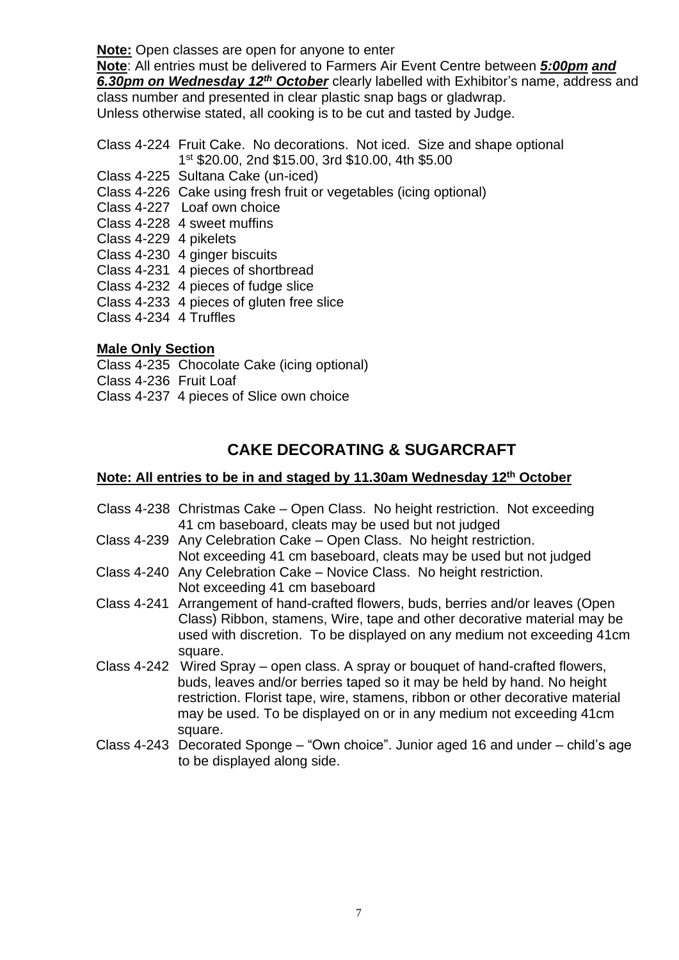**Note:** Open classes are open for anyone to enter

**Note**: All entries must be delivered to Farmers Air Event Centre between *5:00pm and 6.30pm on Wednesday 12 th October* clearly labelled with Exhibitor's name, address and class number and presented in clear plastic snap bags or gladwrap. Unless otherwise stated, all cooking is to be cut and tasted by Judge.

Class 4-224 Fruit Cake. No decorations. Not iced. Size and shape optional 1 st \$20.00, 2nd \$15.00, 3rd \$10.00, 4th \$5.00

- Class 4-225 Sultana Cake (un-iced)
- Class 4-226 Cake using fresh fruit or vegetables (icing optional)
- Class 4-227 Loaf own choice
- Class 4-228 4 sweet muffins
- Class 4-229 4 pikelets
- Class 4-230 4 ginger biscuits
- Class 4-231 4 pieces of shortbread
- Class 4-232 4 pieces of fudge slice
- Class 4-233 4 pieces of gluten free slice
- Class 4-234 4 Truffles

### **Male Only Section**

Class 4-235 Chocolate Cake (icing optional) Class 4-236 Fruit Loaf

Class 4-237 4 pieces of Slice own choice

# **CAKE DECORATING & SUGARCRAFT**

### **Note: All entries to be in and staged by 11.30am Wednesday 12<sup>th</sup> October**

- Class 4-238 Christmas Cake Open Class. No height restriction. Not exceeding 41 cm baseboard, cleats may be used but not judged
- Class 4-239 Any Celebration Cake Open Class. No height restriction. Not exceeding 41 cm baseboard, cleats may be used but not judged
- Class 4-240 Any Celebration Cake Novice Class. No height restriction. Not exceeding 41 cm baseboard
- Class 4-241 Arrangement of hand-crafted flowers, buds, berries and/or leaves (Open Class) Ribbon, stamens, Wire, tape and other decorative material may be used with discretion. To be displayed on any medium not exceeding 41cm square.
- Class 4-242 Wired Spray open class. A spray or bouquet of hand-crafted flowers, buds, leaves and/or berries taped so it may be held by hand. No height restriction. Florist tape, wire, stamens, ribbon or other decorative material may be used. To be displayed on or in any medium not exceeding 41cm square.
- Class 4-243 Decorated Sponge "Own choice". Junior aged 16 and under child's age to be displayed along side.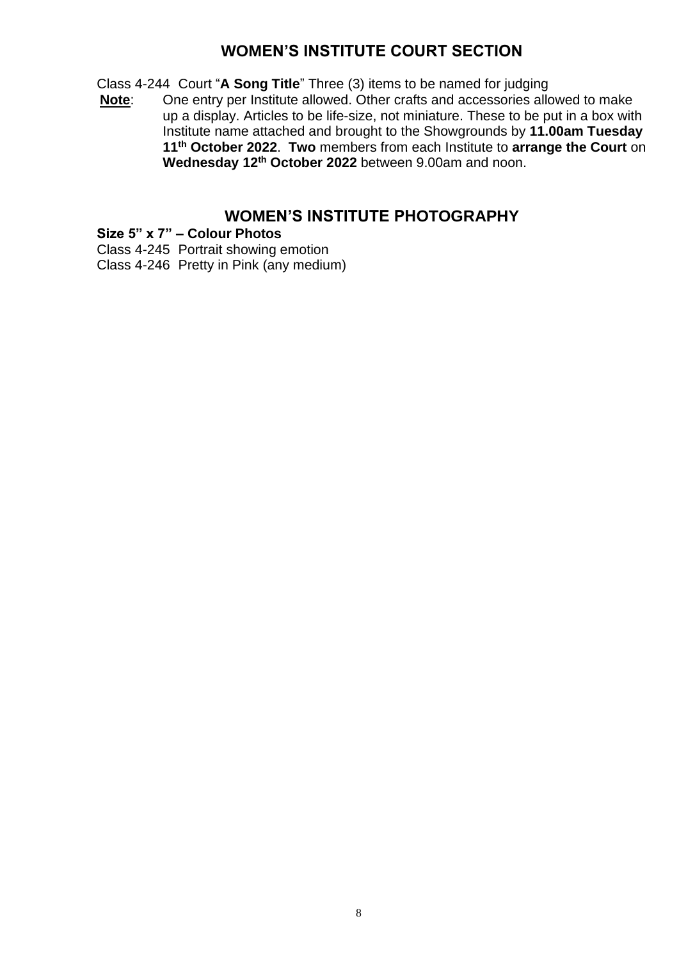# **WOMEN'S INSTITUTE COURT SECTION**

Class 4-244 Court "**A Song Title**" Three (3) items to be named for judging

One entry per Institute allowed. Other crafts and accessories allowed to make up a display. Articles to be life-size, not miniature. These to be put in a box with Institute name attached and brought to the Showgrounds by **11.00am Tuesday 11 th October 2022**. **Two** members from each Institute to **arrange the Court** on **Wednesday 12 th October 2022** between 9.00am and noon.

# **WOMEN'S INSTITUTE PHOTOGRAPHY**

**Size 5" x 7" – Colour Photos**

Class 4-245 Portrait showing emotion

Class 4-246 Pretty in Pink (any medium)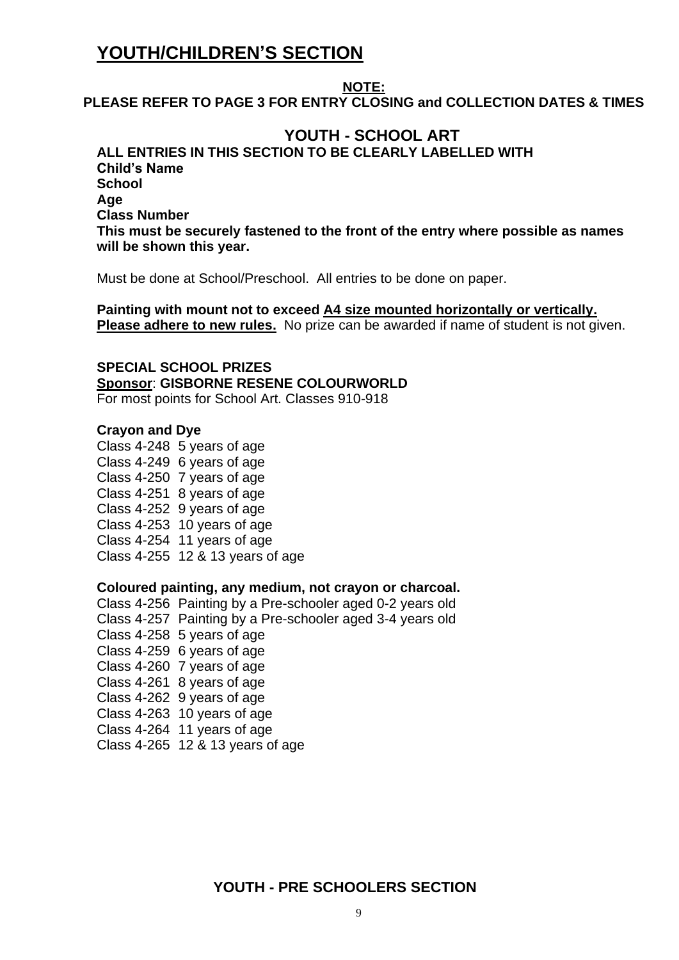# **YOUTH/CHILDREN'S SECTION**

### **NOTE:**

**PLEASE REFER TO PAGE 3 FOR ENTRY CLOSING and COLLECTION DATES & TIMES**

# **YOUTH - SCHOOL ART**

**ALL ENTRIES IN THIS SECTION TO BE CLEARLY LABELLED WITH Child's Name School Age Class Number This must be securely fastened to the front of the entry where possible as names will be shown this year.**

Must be done at School/Preschool. All entries to be done on paper.

**Painting with mount not to exceed A4 size mounted horizontally or vertically. Please adhere to new rules.** No prize can be awarded if name of student is not given.

**SPECIAL SCHOOL PRIZES Sponsor**: **GISBORNE RESENE COLOURWORLD** For most points for School Art. Classes 910-918

#### **Crayon and Dye**

Class 4-248 5 years of age Class 4-249 6 years of age Class 4-250 7 years of age Class 4-251 8 years of age Class 4-252 9 years of age Class 4-253 10 years of age Class 4-254 11 years of age Class 4-255 12 & 13 years of age

#### **Coloured painting, any medium, not crayon or charcoal.**

Class 4-256 Painting by a Pre-schooler aged 0-2 years old Class 4-257 Painting by a Pre-schooler aged 3-4 years old Class 4-258 5 years of age Class 4-259 6 years of age Class 4-260 7 years of age Class 4-261 8 years of age Class 4-262 9 years of age Class 4-263 10 years of age Class 4-264 11 years of age Class 4-265 12 & 13 years of age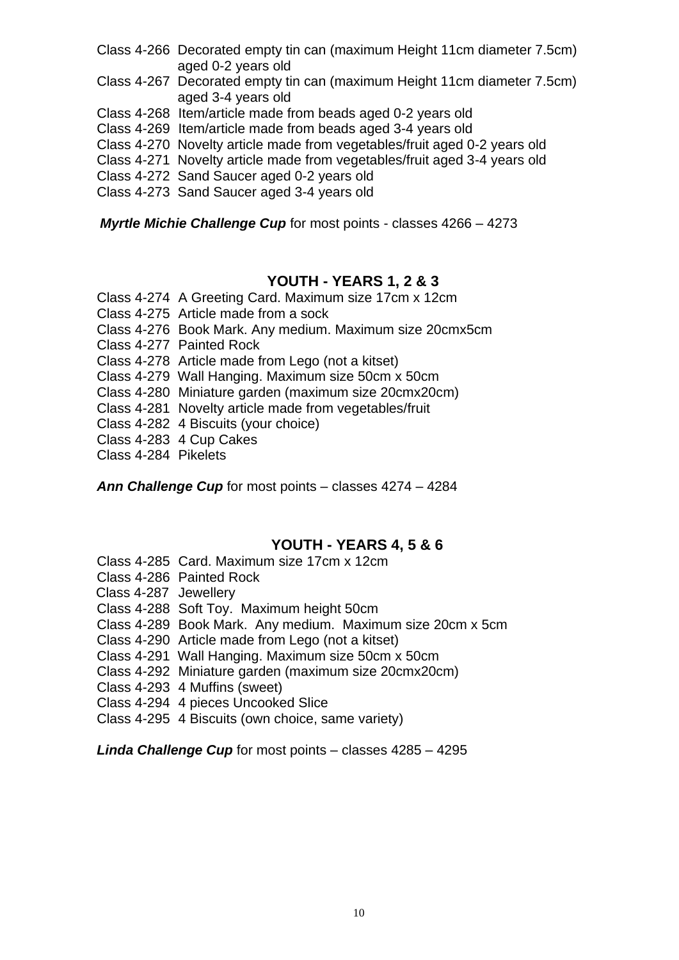- Class 4-266 Decorated empty tin can (maximum Height 11cm diameter 7.5cm) aged 0-2 years old
- Class 4-267 Decorated empty tin can (maximum Height 11cm diameter 7.5cm) aged 3-4 years old
- Class 4-268 Item/article made from beads aged 0-2 years old
- Class 4-269 Item/article made from beads aged 3-4 years old
- Class 4-270 Novelty article made from vegetables/fruit aged 0-2 years old
- Class 4-271 Novelty article made from vegetables/fruit aged 3-4 years old
- Class 4-272 Sand Saucer aged 0-2 years old
- Class 4-273 Sand Saucer aged 3-4 years old

*Myrtle Michie Challenge Cup* for most points - classes 4266 – 4273

### **YOUTH - YEARS 1, 2 & 3**

- Class 4-274 A Greeting Card. Maximum size 17cm x 12cm
- Class 4-275 Article made from a sock
- Class 4-276 Book Mark. Any medium. Maximum size 20cmx5cm
- Class 4-277 Painted Rock
- Class 4-278 Article made from Lego (not a kitset)
- Class 4-279 Wall Hanging. Maximum size 50cm x 50cm
- Class 4-280 Miniature garden (maximum size 20cmx20cm)
- Class 4-281 Novelty article made from vegetables/fruit
- Class 4-282 4 Biscuits (your choice)
- Class 4-283 4 Cup Cakes
- Class 4-284 Pikelets

*Ann Challenge Cup* for most points – classes 4274 – 4284

### **YOUTH - YEARS 4, 5 & 6**

- Class 4-285 Card. Maximum size 17cm x 12cm
- Class 4-286 Painted Rock
- Class 4-287 Jewellery
- Class 4-288 Soft Toy. Maximum height 50cm
- Class 4-289 Book Mark. Any medium. Maximum size 20cm x 5cm
- Class 4-290 Article made from Lego (not a kitset)
- Class 4-291 Wall Hanging. Maximum size 50cm x 50cm
- Class 4-292 Miniature garden (maximum size 20cmx20cm)
- Class 4-293 4 Muffins (sweet)
- Class 4-294 4 pieces Uncooked Slice
- Class 4-295 4 Biscuits (own choice, same variety)

*Linda Challenge Cup* for most points – classes 4285 – 4295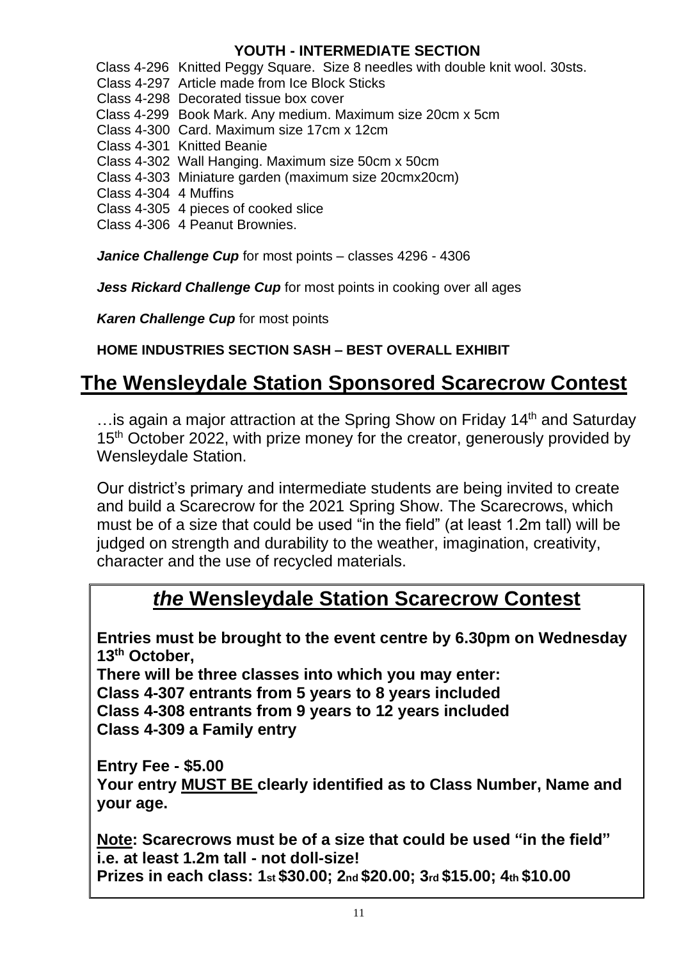# **YOUTH - INTERMEDIATE SECTION**

Class 4-296 Knitted Peggy Square. Size 8 needles with double knit wool. 30sts.

Class 4-297 Article made from Ice Block Sticks

Class 4-298 Decorated tissue box cover

Class 4-299 Book Mark. Any medium. Maximum size 20cm x 5cm

Class 4-300 Card. Maximum size 17cm x 12cm

Class 4-301 Knitted Beanie

Class 4-302 Wall Hanging. Maximum size 50cm x 50cm

Class 4-303 Miniature garden (maximum size 20cmx20cm)

Class 4-304 4 Muffins

Class 4-305 4 pieces of cooked slice

Class 4-306 4 Peanut Brownies.

*Janice Challenge Cup* for most points – classes 4296 - 4306

*Jess Rickard Challenge Cup* for most points in cooking over all ages

*Karen Challenge Cup* for most points

# **HOME INDUSTRIES SECTION SASH – BEST OVERALL EXHIBIT**

# **The Wensleydale Station Sponsored Scarecrow Contest**

... is again a major attraction at the Spring Show on Friday 14<sup>th</sup> and Saturday 15<sup>th</sup> October 2022, with prize money for the creator, generously provided by Wensleydale Station.

Our district's primary and intermediate students are being invited to create and build a Scarecrow for the 2021 Spring Show. The Scarecrows, which must be of a size that could be used "in the field" (at least 1.2m tall) will be judged on strength and durability to the weather, imagination, creativity, character and the use of recycled materials.

# *the* **Wensleydale Station Scarecrow Contest**

**Entries must be brought to the event centre by 6.30pm on Wednesday 13 th October,** 

**There will be three classes into which you may enter: Class 4-307 entrants from 5 years to 8 years included Class 4-308 entrants from 9 years to 12 years included Class 4-309 a Family entry** 

**Entry Fee - \$5.00 Your entry MUST BE clearly identified as to Class Number, Name and your age.** 

**Note: Scarecrows must be of a size that could be used "in the field" i.e. at least 1.2m tall - not doll-size! Prizes in each class: 1st \$30.00; 2nd \$20.00; 3rd \$15.00; 4th \$10.00**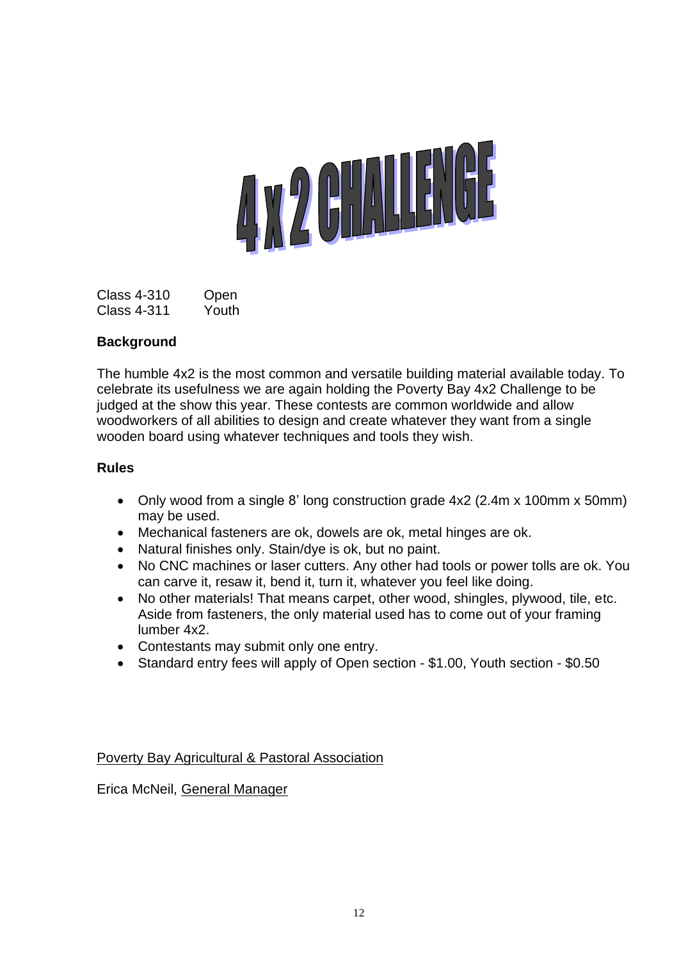

Class 4-310 Open Class 4-311 Youth

### **Background**

The humble 4x2 is the most common and versatile building material available today. To celebrate its usefulness we are again holding the Poverty Bay 4x2 Challenge to be judged at the show this year. These contests are common worldwide and allow woodworkers of all abilities to design and create whatever they want from a single wooden board using whatever techniques and tools they wish.

### **Rules**

- Only wood from a single 8' long construction grade 4x2 (2.4m x 100mm x 50mm) may be used.
- Mechanical fasteners are ok, dowels are ok, metal hinges are ok.
- Natural finishes only. Stain/dye is ok, but no paint.
- No CNC machines or laser cutters. Any other had tools or power tolls are ok. You can carve it, resaw it, bend it, turn it, whatever you feel like doing.
- No other materials! That means carpet, other wood, shingles, plywood, tile, etc. Aside from fasteners, the only material used has to come out of your framing lumber 4x2.
- Contestants may submit only one entry.
- Standard entry fees will apply of Open section \$1.00, Youth section \$0.50

Poverty Bay Agricultural & Pastoral Association

Erica McNeil, General Manager